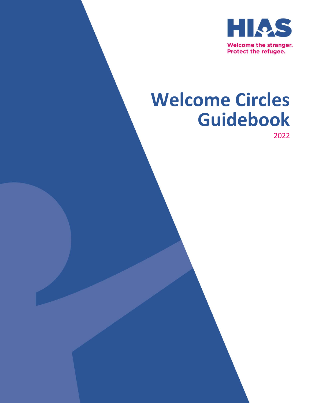

# **Welcome Circles Guidebook**

2022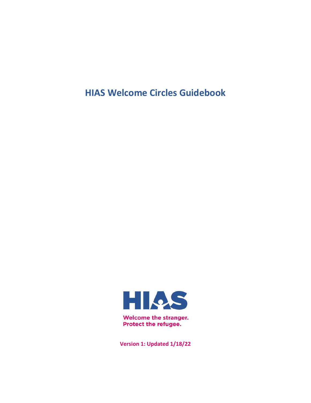**HIAS Welcome Circles Guidebook**



**Version 1: Updated 1/18/22**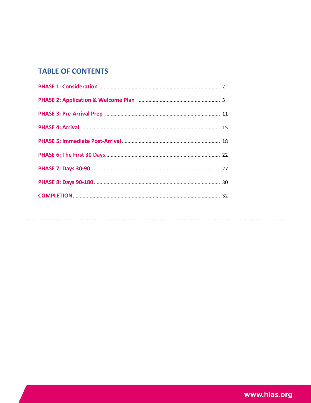# **TABLE OF CONTENTS**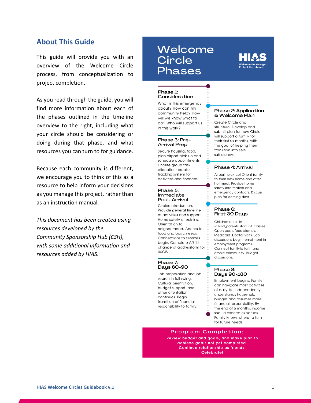# **About This Guide**

This guide will provide you with an overview of the Welcome Circle process, from conceptualization to project completion.

As you read through the guide, you will find more information about each of the phases outlined in the timeline overview to the right, including what your circle should be considering or doing during that phase, and what resources you can turn to for guidance.

Because each community is different, we encourage you to think of this as a resource to help inform your decisions as you manage this project, rather than as an instruction manual.

*This document has been created using resources developed by the Community Sponsorship Hub (CSH), with some additional information and resources added by HIAS.*

# Welcome **Circle** Phases



#### Phase 1: Consideration

What is this emergency about? How can my community help? How will we know what to do? Who will support us in this work?

#### Phase 3: Pre-**Arrival Prep**

Secure housing, food; plan airport pick-up and schedule appointments. Finalize group task allocation; create tracking system for activities and finances.

#### Phase 5: Immediate Post-Arrival

Circles introduction. Provide general timeline of activities and support. Home safety check-ins. Orientation to neighborhood. Access to food and basic needs. Connections to services begin. Complete AR-11 change of addressform for USCIS.

#### Phase 7: Daus 60-90

Job preparation and job search in full swina. Cultural orientation, budget support, and other orientation continues. Begin transition of financial responsibility to family.

#### Phase 2: Application & Welcome Plan

Create Circle and structure. Develop and submit plan for how Circle will support a family for their first six months, with the goal of helping them transition into selfsufficiency.

#### Phase 4: Arrival

Airport pick-up! Orient family to their new home and offer hot meal. Provide home safety information and emergency contacts. Discuss plan for coming days.

#### Phase 6: First 30 Days

Children enroll in school.parents start ESL classes. Open cash, food stamps, Medicaid, Doctor visits, Job discussions begin: enrollment in employment programs. Connect familyto faith and ethnic community. Budget discussions.

#### Phase 8: Days 90-180

Employment begins. Family can navigate most activities of daily life independently; understands household budget and assumes more financial responsibility. By the end of 6 months, income should exceed expenses. Family knows where to turn for future needs.

#### Program Completion:

Review budget and goals, and make plan to achieve goals not yet completed. Continue relationship as friends. Celebrate!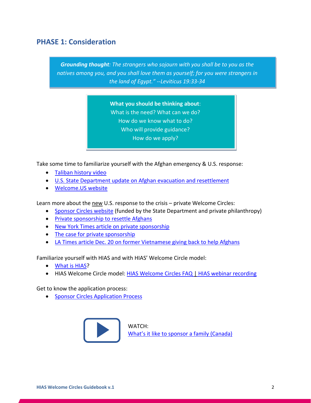# **PHASE 1: Consideration**

*Grounding thought: The strangers who sojourn with you shall be to you as the natives among you, and you shall love them as yourself; for you were strangers in the land of Egypt." --Leviticus 19:33-34*

> **What you should be thinking about**: What is the need? What can we do? How do we know what to do? Who will provide guidance? How do we apply?

Take some time to familiarize yourself with the Afghan emergency & U.S. response:

- [Taliban history video](https://www.vox.com/videos/2021/11/11/22776772/taliban-afghanistan-mujahideen-history-takeover)
- [U.S. State Department update on Afghan evacuation and resettlement](https://www.state.gov/afghanistan-relocation-and-resettlement-update/)
- [Welcome.US website](https://welcome.us/)

Learn more about the new U.S. response to the crisis - private Welcome Circles:

- [Sponsor Circles website](https://www.sponsorcircles.org/) (funded by the State Department and private philanthropy)
- [Private sponsorship to resettle Afghans](https://www.cnn.com/2021/10/23/politics/afghan-refugees-private-resettlement-veterans/index.html)
- [New York Times article on private sponsorship](https://www.nytimes.com/2021/12/19/opinion/afghan-refugees-resettlement-us.html)
- [The case for private sponsorship](https://www.niskanencenter.org/wp-content/uploads/2021/02/An-Idea-Whose-Time-Has-Come-Feb-2021.pdf)
- [LA Times article Dec. 20 on former Vietnamese giving back to help Afghans](https://enewspaper.latimes.com/desktop/latimes/default.aspx?pubid=50435180-e58e-48b5-8e0c-236bf740270e)

Familiarize yourself with HIAS and with HIAS' Welcome Circle model:

- [What is HIAS?](http://www.hias.org/)
- HIAS Welcome Circle model: [HIAS Welcome Circles FAQ](https://www.hias.org/sites/default/files/welcome_circles_faq_v2.pdf) | [HIAS webinar recording](https://vimeo.com/642744553/c03862ae28)

Get to know the application process:

• [Sponsor Circles Application Process](https://www.sponsorcircles.org/apply)



WATCH: [What's it like to sponsor a family \(Canada\)](https://www.youtube.com/watch?v=0nsPI0ir5no)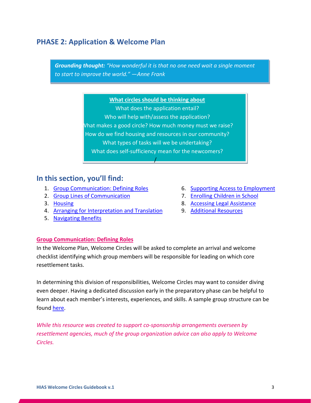# **PHASE 2: Application & Welcome Plan**

*Grounding thought: "How wonderful it is that no one need wait a single moment to start to improve the world." —Anne Frank*

#### **What circles should be thinking about**

What does the application entail? Who will help with/assess the application? What makes a good circle? How much money must we raise? How do we find housing and resources in our community? What types of tasks will we be undertaking? What does self-sufficiency mean for the newcomers?

/

# **In this section, you'll find:**

- 1. [Group Communication: Defining Roles](#page-5-0)
- 2. [Group Lines of Communication](#page-6-0)
- 3. [Housing](#page-7-0)
- 4. [Arranging for Interpretation and Translation](#page-8-0)
- 5. [Navigating Benefits](#page-8-1)
- 6. [Supporting Access to Employment](#page-9-0)
- 7. [Enrolling Children in School](#page-10-0)
- 8. [Accessing Legal Assistance](#page-11-0)
- 9. Additional Resources

# <span id="page-5-0"></span>**Group Communication: Defining Roles**

In the Welcome Plan, Welcome Circles will be asked to complete an arrival and welcome checklist identifying which group members will be responsible for leading on which core resettlement tasks.

In determining this division of responsibilities, Welcome Circles may want to consider diving even deeper. Having a dedicated discussion early in the preparatory phase can be helpful to learn about each member's interests, experiences, and skills. A sample group structure can be found [here.](https://irisct.org/wp-content/uploads/2020/10/Sample-Co-sponsor-Group-Structure-2-1.pdf)

*While this resource was created to support co-sponsorship arrangements overseen by resettlement agencies, much of the group organization advice can also apply to Welcome Circles.*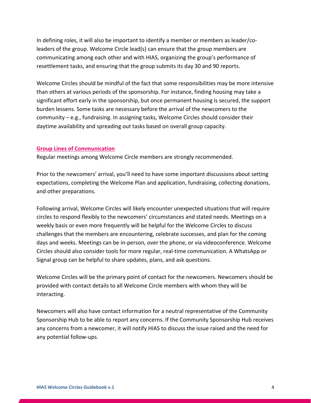In defining roles, it will also be important to identify a member or members as leader/coleaders of the group. Welcome Circle lead(s) can ensure that the group members are communicating among each other and with HIAS, organizing the group's performance of resettlement tasks, and ensuring that the group submits its day 30 and 90 reports.

Welcome Circles should be mindful of the fact that some responsibilities may be more intensive than others at various periods of the sponsorship. For instance, finding housing may take a significant effort early in the sponsorship, but once permanent housing is secured, the support burden lessens. Some tasks are necessary before the arrival of the newcomers to the community – e.g., fundraising. In assigning tasks, Welcome Circles should consider their daytime availability and spreading out tasks based on overall group capacity.

#### <span id="page-6-0"></span>**Group Lines of Communication**

Regular meetings among Welcome Circle members are strongly recommended.

Prior to the newcomers' arrival, you'll need to have some important discussions about setting expectations, completing the Welcome Plan and application, fundraising, collecting donations, and other preparations.

Following arrival, Welcome Circles will likely encounter unexpected situations that will require circles to respond flexibly to the newcomers' circumstances and stated needs. Meetings on a weekly basis or even more frequently will be helpful for the Welcome Circles to discuss challenges that the members are encountering, celebrate successes, and plan for the coming days and weeks. Meetings can be in-person, over the phone, or via videoconference. Welcome Circles should also consider tools for more regular, real-time communication. A WhatsApp or Signal group can be helpful to share updates, plans, and ask questions.

Welcome Circles will be the primary point of contact for the newcomers. Newcomers should be provided with contact details to all Welcome Circle members with whom they will be interacting.

Newcomers will also have contact information for a neutral representative of the Community Sponsorship Hub to be able to report any concerns. If the Community Sponsorship Hub receives any concerns from a newcomer, it will notify HIAS to discuss the issue raised and the need for any potential follow-ups.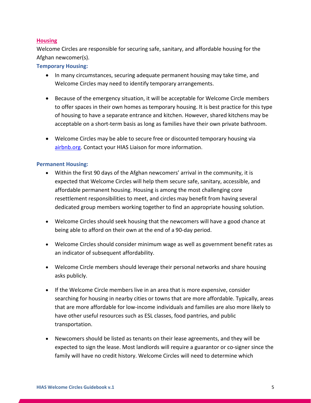# <span id="page-7-0"></span>**Housing**

Welcome Circles are responsible for securing safe, sanitary, and affordable housing for the Afghan newcomer(s).

# **Temporary Housing:**

- In many circumstances, securing adequate permanent housing may take time, and Welcome Circles may need to identify temporary arrangements.
- Because of the emergency situation, it will be acceptable for Welcome Circle members to offer spaces in their own homes as temporary housing. It is best practice for this type of housing to have a separate entrance and kitchen. However, shared kitchens may be acceptable on a short-term basis as long as families have their own private bathroom.
- Welcome Circles may be able to secure free or discounted temporary housing via [airbnb.org.](http://airbnb.org/) Contact your HIAS Liaison for more information.

### **Permanent Housing:**

- Within the first 90 days of the Afghan newcomers' arrival in the community, it is expected that Welcome Circles will help them secure safe, sanitary, accessible, and affordable permanent housing. Housing is among the most challenging core resettlement responsibilities to meet, and circles may benefit from having several dedicated group members working together to find an appropriate housing solution.
- Welcome Circles should seek housing that the newcomers will have a good chance at being able to afford on their own at the end of a 90-day period.
- Welcome Circles should consider minimum wage as well as government benefit rates as an indicator of subsequent affordability.
- Welcome Circle members should leverage their personal networks and share housing asks publicly.
- If the Welcome Circle members live in an area that is more expensive, consider searching for housing in nearby cities or towns that are more affordable. Typically, areas that are more affordable for low-income individuals and families are also more likely to have other useful resources such as ESL classes, food pantries, and public transportation.
- Newcomers should be listed as tenants on their lease agreements, and they will be expected to sign the lease. Most landlords will require a guarantor or co-signer since the family will have no credit history. Welcome Circles will need to determine which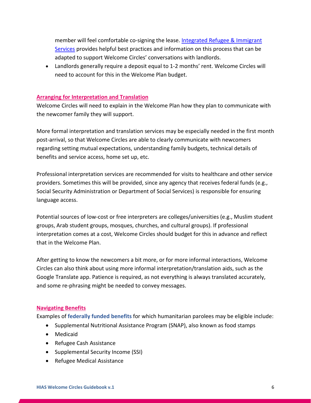member will feel comfortable co-signing the lease. [Integrated Refugee & Immigrant](https://irisct.org/resources/)  [Services](https://irisct.org/resources/) provides helpful best practices and information on this process that can be adapted to support Welcome Circles' conversations with landlords.

• Landlords generally require a deposit equal to 1-2 months' rent. Welcome Circles will need to account for this in the Welcome Plan budget.

# <span id="page-8-0"></span>**Arranging for Interpretation and Translation**

Welcome Circles will need to explain in the Welcome Plan how they plan to communicate with the newcomer family they will support.

More formal interpretation and translation services may be especially needed in the first month post-arrival, so that Welcome Circles are able to clearly communicate with newcomers regarding setting mutual expectations, understanding family budgets, technical details of benefits and service access, home set up, etc.

Professional interpretation services are recommended for visits to healthcare and other service providers. Sometimes this will be provided, since any agency that receives federal funds (e.g., Social Security Administration or Department of Social Services) is responsible for ensuring language access.

Potential sources of low-cost or free interpreters are colleges/universities (e.g., Muslim student groups, Arab student groups, mosques, churches, and cultural groups). If professional interpretation comes at a cost, Welcome Circles should budget for this in advance and reflect that in the Welcome Plan.

After getting to know the newcomers a bit more, or for more informal interactions, Welcome Circles can also think about using more informal interpretation/translation aids, such as the Google Translate app. Patience is required, as not everything is always translated accurately, and some re-phrasing might be needed to convey messages.

# <span id="page-8-1"></span>**Navigating Benefits**

Examples of **federally funded benefits** for which humanitarian parolees may be eligible include:

- Supplemental Nutritional Assistance Program (SNAP), also known as food stamps
- Medicaid
- Refugee Cash Assistance
- Supplemental Security Income (SSI)
- Refugee Medical Assistance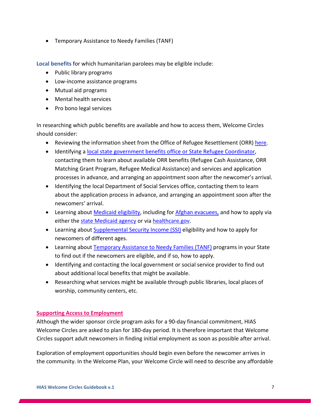• Temporary Assistance to Needy Families (TANF)

**Local benefits** for which humanitarian parolees may be eligible include:

- Public library programs
- Low-income assistance programs
- Mutual aid programs
- Mental health services
- Pro bono legal services

In researching which public benefits are available and how to access them, Welcome Circles should consider:

- Reviewing the information sheet from the Office of Refugee Resettlement (ORR) [here.](https://www.acf.hhs.gov/sites/default/files/documents/orr/Benefits-for-Afghan-Humanitarian-Parolees.pdf)
- Identifying a [local state government benefits office or](https://www.acf.hhs.gov/orr/grant-funding/key-state-contacts) State Refugee Coordinator, contacting them to learn about available ORR benefits (Refugee Cash Assistance, ORR Matching Grant Program, Refugee Medical Assistance) and services and application processes in advance, and arranging an appointment soon after the newcomer's arrival.
- Identifying the local Department of Social Services office, contacting them to learn about the application process in advance, and arranging an appointment soon after the newcomers' arrival.
- Learning about [Medicaid eligibility,](https://www.medicaid.gov/medicaid/eligibility/index.html) including for [Afghan evacuees,](https://www.medicaid.gov/medicaid/eligibility/downloads/hlth-cov-option-afghan-evac-fact-sheet.pdf) and how to apply via either the [state Medicaid agency](https://www.medicaid.gov/about-us/contact-us/contact-your-state-questions/index.html) or vi[a healthcare.gov.](https://www.healthcare.gov/)
- Learning about [Supplemental Security Income \(SSI\)](https://www.ssa.gov/benefits/ssi/) eligibility and how to apply for newcomers of different ages.
- Learning about [Temporary Assistance to Needy Families \(TANF\)](https://www.acf.hhs.gov/ofa/map/about/help-families) programs in your State to find out if the newcomers are eligible, and if so, how to apply.
- Identifying and contacting the local government or social service provider to find out about additional local benefits that might be available.
- Researching what services might be available through public libraries, local places of worship, community centers, etc.

# <span id="page-9-0"></span>**Supporting Access to Employment**

Although the wider sponsor circle program asks for a 90-day financial commitment, HIAS Welcome Circles are asked to plan for 180-day period. It is therefore important that Welcome Circles support adult newcomers in finding initial employment as soon as possible after arrival.

Exploration of employment opportunities should begin even before the newcomer arrives in the community. In the Welcome Plan, your Welcome Circle will need to describe any affordable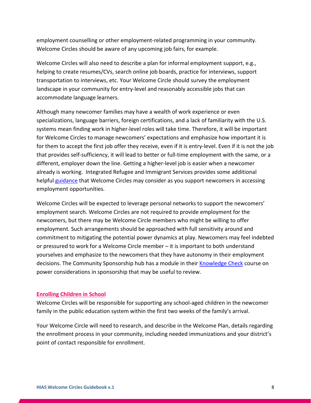employment counselling or other employment-related programming in your community. Welcome Circles should be aware of any upcoming job fairs, for example.

Welcome Circles will also need to describe a plan for informal employment support, e.g., helping to create resumes/CVs, search online job boards, practice for interviews, support transportation to interviews, etc. Your Welcome Circle should survey the employment landscape in your community for entry-level and reasonably accessible jobs that can accommodate language learners.

Although many newcomer families may have a wealth of work experience or even specializations, language barriers, foreign certifications, and a lack of familiarity with the U.S. systems mean finding work in higher-level roles will take time. Therefore, it will be important for Welcome Circles to manage newcomers' expectations and emphasize how important it is for them to accept the first job offer they receive, even if it is entry-level. Even if it is not the job that provides self-sufficiency, it will lead to better or full-time employment with the same, or a different, employer down the line. Getting a higher-level job is easier when a newcomer already is working. Integrated Refugee and Immigrant Services provides some additional helpful [guidance](https://irisct.org/wp-content/uploads/2020/10/OCT-2018-MORE-ABOUT-EMPLOYMENT.pdf) that Welcome Circles may consider as you support newcomers in accessing employment opportunities.

Welcome Circles will be expected to leverage personal networks to support the newcomers' employment search. Welcome Circles are not required to provide employment for the newcomers, but there may be Welcome Circle members who might be willing to offer employment. Such arrangements should be approached with full sensitivity around and commitment to mitigating the potential power dynamics at play. Newcomers may feel indebted or pressured to work for a Welcome Circle member – it is important to both understand yourselves and emphasize to the newcomers that they have autonomy in their employment decisions. The Community Sponsorship hub has a module in their [Knowledge Check](https://sponsorcircles.talentlms.com/catalog) course on power considerations in sponsorship that may be useful to review.

#### <span id="page-10-0"></span>**Enrolling Children in School**

Welcome Circles will be responsible for supporting any school-aged children in the newcomer family in the public education system within the first two weeks of the family's arrival.

Your Welcome Circle will need to research, and describe in the Welcome Plan, details regarding the enrollment process in your community, including needed immunizations and your district's point of contact responsible for enrollment.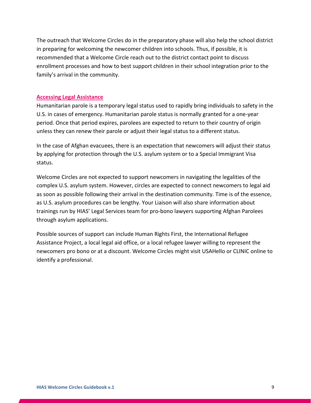The outreach that Welcome Circles do in the preparatory phase will also help the school district in preparing for welcoming the newcomer children into schools. Thus, if possible, it is recommended that a Welcome Circle reach out to the district contact point to discuss enrollment processes and how to best support children in their school integration prior to the family's arrival in the community.

#### <span id="page-11-0"></span>**Accessing Legal Assistance**

Humanitarian parole is a temporary legal status used to rapidly bring individuals to safety in the U.S. in cases of emergency. Humanitarian parole status is normally granted for a one-year period. Once that period expires, parolees are expected to return to their country of origin unless they can renew their parole or adjust their legal status to a different status.

In the case of Afghan evacuees, there is an expectation that newcomers will adjust their status by applying for protection through the U.S. asylum system or to a Special Immigrant Visa status.

Welcome Circles are not expected to support newcomers in navigating the legalities of the complex U.S. asylum system. However, circles are expected to connect newcomers to legal aid as soon as possible following their arrival in the destination community. Time is of the essence, as U.S. asylum procedures can be lengthy. Your Liaison will also share information about trainings run by HIAS' Legal Services team for pro-bono lawyers supporting Afghan Parolees through asylum applications.

Possible sources of support can include Human Rights First, the International Refugee Assistance Project, a local legal aid office, or a local refugee lawyer willing to represent the newcomers pro bono or at a discount. Welcome Circles might visit USAHello or CLINIC online to identify a professional.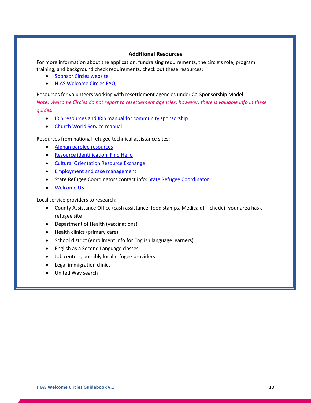#### **Additional Resources**

For more information about the application, fundraising requirements, the circle's role, program training, and background check requirements, check out these resources:

- [Sponsor Circles website](https://www.sponsorcircles.org/)
- [HIAS Welcome Circles FAQ](https://www.hias.org/sites/default/files/welcome_circles_faq_v2.pdf)

Resources for volunteers working with resettlement agencies under Co-Sponsorship Model: *Note: Welcome Circles do not report to resettlement agencies; however, there is valuable info in these guides.*

- [IRIS resources a](https://irisct.org/resources/)nd [IRIS manual for community sponsorship](https://irisct.org/wp-content/uploads/2021/04/COMM-CO-SPONSORSHIP-MANUAL-FEB-2021-FINAL2.pdf)
- [Church World Service manual](https://cwsglobal.org/download/14498/)

Resources from national refugee technical assistance sites:

- [Afghan parolee resources](https://www.acf.hhs.gov/orr/programs/refugees/afghan-assistance-resources)
- [Resource identification: Find Hello](https://usahello.org/)
- [Cultural Orientation Resource Exchange](https://coresourceexchange.org/)
- [Employment and case management](https://switchboardta.org/)
- State Refugee Coordinators contact info[: State Refugee Coordinator](https://www.acf.hhs.gov/orr/grant-funding/key-state-contacts)
- [Welcome.US](http://www.welcome.us/)

Local service providers to research:

- County Assistance Office (cash assistance, food stamps, Medicaid) check if your area has a refugee site
- Department of Health (vaccinations)
- Health clinics (primary care)
- School district (enrollment info for English language learners)
- English as a Second Language classes
- Job centers, possibly local refugee providers
- Legal immigration clinics
- United Way search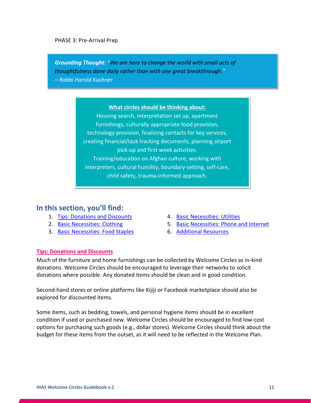### PHASE 3: Pre-Arrival Prep

*Grounding Thought: "We are here to change the world with small acts of thoughtfulness done daily rather than with one great breakthrough."*

*– Rabbi Harold Kushner*

# **What circles should be thinking about:**

Housing search, interpretation set up, apartment furnishings, culturally appropriate food provision, technology provision, finalizing contacts for key services, creating financial/task tracking documents, planning airport pick-up and first week activities. Training/education on Afghan culture, working with interpreters, cultural humility, boundary-setting, self-care, child safety, trauma-informed approach.

# **In this section, you'll find:**

- 1. [Tips: Donations and Discounts](#page-13-0)
- 2. [Basic Necessities: Clothing](#page-14-0)
- 3. [Basic Necessities: Food Staples](#page-14-1)
- 4. [Basic Necessities: Utilities](#page-15-0)
- 5. [Basic Necessities: Phone and Internet](#page-15-1)
- 6. [Additional Resources](#page-16-0)

# <span id="page-13-0"></span>**Tips: Donations and Discounts**

Much of the furniture and home furnishings can be collected by Welcome Circles as in-kind donations. Welcome Circles should be encouraged to leverage their networks to solicit donations where possible. Any donated items should be clean and in good condition.

Second-hand stores or online platforms like Kijiji or Facebook marketplace should also be explored for discounted items.

Some items, such as bedding, towels, and personal hygiene items should be in excellent condition if used or purchased new. Welcome Circles should be encouraged to find low-cost options for purchasing such goods (e.g., dollar stores). Welcome Circles should think about the budget for these items from the outset, as it will need to be reflected in the Welcome Plan.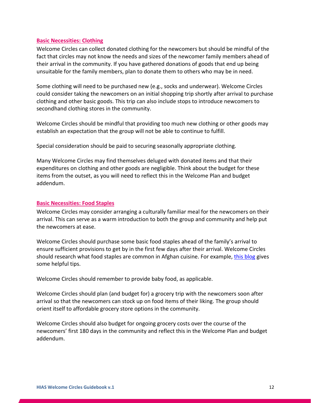### <span id="page-14-0"></span>**Basic Necessities: Clothing**

Welcome Circles can collect donated clothing for the newcomers but should be mindful of the fact that circles may not know the needs and sizes of the newcomer family members ahead of their arrival in the community. If you have gathered donations of goods that end up being unsuitable for the family members, plan to donate them to others who may be in need.

Some clothing will need to be purchased new (e.g., socks and underwear). Welcome Circles could consider taking the newcomers on an initial shopping trip shortly after arrival to purchase clothing and other basic goods. This trip can also include stops to introduce newcomers to secondhand clothing stores in the community.

Welcome Circles should be mindful that providing too much new clothing or other goods may establish an expectation that the group will not be able to continue to fulfill.

Special consideration should be paid to securing seasonally appropriate clothing.

Many Welcome Circles may find themselves deluged with donated items and that their expenditures on clothing and other goods are negligible. Think about the budget for these items from the outset, as you will need to reflect this in the Welcome Plan and budget addendum.

# <span id="page-14-1"></span>**Basic Necessities: Food Staples**

Welcome Circles may consider arranging a culturally familiar meal for the newcomers on their arrival. This can serve as a warm introduction to both the group and community and help put the newcomers at ease.

Welcome Circles should purchase some basic food staples ahead of the family's arrival to ensure sufficient provisions to get by in the first few days after their arrival. Welcome Circles should research what food staples are common in Afghan cuisine. For example, [this blog](https://www.afghancultureunveiled.com/humaira-ghilzai/afghancooking/2013/09/a-peek-in-afghan-pantry.html) gives some helpful tips.

Welcome Circles should remember to provide baby food, as applicable.

Welcome Circles should plan (and budget for) a grocery trip with the newcomers soon after arrival so that the newcomers can stock up on food items of their liking. The group should orient itself to affordable grocery store options in the community.

Welcome Circles should also budget for ongoing grocery costs over the course of the newcomers' first 180 days in the community and reflect this in the Welcome Plan and budget addendum.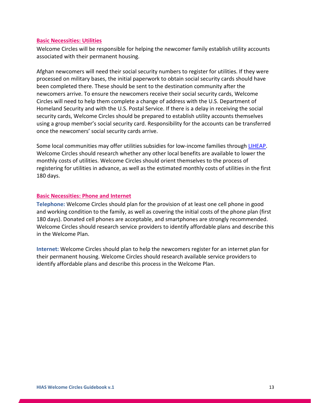### <span id="page-15-0"></span>**Basic Necessities: Utilities**

Welcome Circles will be responsible for helping the newcomer family establish utility accounts associated with their permanent housing.

Afghan newcomers will need their social security numbers to register for utilities. If they were processed on military bases, the initial paperwork to obtain social security cards should have been completed there. These should be sent to the destination community after the newcomers arrive. To ensure the newcomers receive their social security cards, Welcome Circles will need to help them complete a change of address with the U.S. Department of Homeland Security and with the U.S. Postal Service. If there is a delay in receiving the social security cards, Welcome Circles should be prepared to establish utility accounts themselves using a group member's social security card. Responsibility for the accounts can be transferred once the newcomers' social security cards arrive.

Some local communities may offer utilities subsidies for low-income families through [LIHEAP.](https://www.acf.hhs.gov/ocs/low-income-home-energy-assistance-program-liheap) Welcome Circles should research whether any other local benefits are available to lower the monthly costs of utilities. Welcome Circles should orient themselves to the process of registering for utilities in advance, as well as the estimated monthly costs of utilities in the first 180 days.

# <span id="page-15-1"></span>**Basic Necessities: Phone and Internet**

**Telephone:** Welcome Circles should plan for the provision of at least one cell phone in good and working condition to the family, as well as covering the initial costs of the phone plan (first 180 days). Donated cell phones are acceptable, and smartphones are strongly recommended. Welcome Circles should research service providers to identify affordable plans and describe this in the Welcome Plan.

**Internet:** Welcome Circles should plan to help the newcomers register for an internet plan for their permanent housing. Welcome Circles should research available service providers to identify affordable plans and describe this process in the Welcome Plan.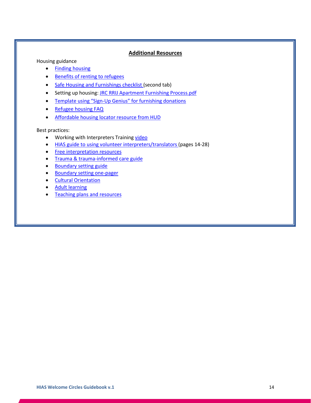### **Additional Resources**

<span id="page-16-0"></span>Housing guidance

- [Finding housing](https://usahello.org/life-in-usa/daily-life/find-place-to-live/#gref)
- [Benefits of renting to refugees](https://housingconnect.org/wp-content/uploads/2019/12/Benefits-renting-to-refugees.pdf)
- [Safe Housing and Furnishings checklist \(](https://www.hias.org/sites/default/files/sample_services_timeline_-_house_furnishings_checklist.xlsx)second tab)
- Setting up housing[: JRC RRIJ Apartment Furnishing Process.pdf](https://hiasny.sharepoint.com/:b:/s/CommunityEngagementGroup/Eb3M4rWG44BFpuT8i50wZBwBSvti9u_nmximA7scN1jxUw?e=cWeFMs)
- [Template using "Sign-Up Genius" for furnishing donations](https://www.signupgenius.com/go/30e0f4cadad29a1fe3-template)
- [Refugee housing FAQ](https://www.acf.hhs.gov/orr/faq/housing-information-faqs)
- [Affordable housing locator resource from HUD](https://resources.hud.gov/)

Best practices:

- Working with Interpreters Training [video](https://www.youtube.com/watch?v=pVm27HLLiiQ)
- [HIAS guide to using volunteer interpreters/translators \(](https://www.hias.org/sites/default/files/study_guide_volunteer_interpreter_and_translator_training_guide.pdf)pages 14-28)
- [Free interpretation resources](https://usahello.org/life-in-usa/daily-life/free-translation-help/#gref)
- [Trauma & trauma-informed care guide](https://www.catholiccharitiesusa.org/wp-content/uploads/2018/10/Secondary-Trauma-for-those-Working-with-Immigrants-and-Refugees-webinar-Oct-232018.pdf)
- [Boundary setting guide](https://citizensuk.contentfiles.net/media/documents/Managing_Boundaries_Workbook.pdf)
- [Boundary setting one-pager](http://www.refugeeone.org/uploads/1/2/8/1/12814267/setting_and_keeping_boundaries__website_.pdf)
- [Cultural Orientation](https://coresourceexchange.org/)
- [Adult learning](https://switchboardta.org/resource/six-principles-of-adult-learning/)
- [Teaching plans and resources](https://www.refugeeone.org/mentoring-teaching-english.html)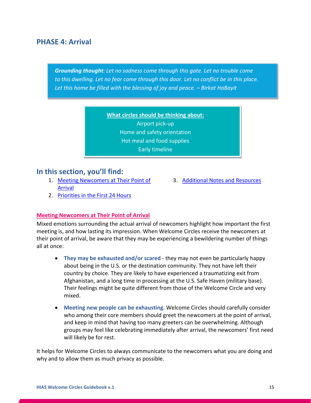# **PHASE 4: Arrival**

*Grounding thought: Let no sadness come through this gate. Let no trouble come to this dwelling. Let no fear come through this door. Let no conflict be in this place. Let this home be filled with the blessing of joy and peace. – Birkat HaBayit*

> **What circles should be thinking about:** Airport pick-up Home and safety orientation Hot meal and food supplies Early timeline

# **In this section, you'll find:**

- 1. [Meeting Newcomers at Their Point of](#page-17-0)  [Arrival](#page-17-0)
- 3. [Additional Notes and Resources](#page-19-0)
- 2. Priorities in [the First 24 Hours](#page-18-0)

### <span id="page-17-0"></span>**Meeting Newcomers at Their Point of Arrival**

Mixed emotions surrounding the actual arrival of newcomers highlight how important the first meeting is, and how lasting its impression. When Welcome Circles receive the newcomers at their point of arrival, be aware that they may be experiencing a bewildering number of things all at once:

- **They may be exhausted and/or scared** they may not even be particularly happy about being in the U.S. or the destination community. They not have left their country by choice. They are likely to have experienced a traumatizing exit from Afghanistan, and a long time in processing at the U.S. Safe Haven (military base). Their feelings might be quite different from those of the Welcome Circle and very mixed.
- **Meeting new people can be exhausting**. Welcome Circles should carefully consider who among their core members should greet the newcomers at the point of arrival, and keep in mind that having too many greeters can be overwhelming. Although groups may feel like celebrating immediately after arrival, the newcomers' first need will likely be for rest.

It helps for Welcome Circles to always communicate to the newcomers what you are doing and why and to allow them as much privacy as possible.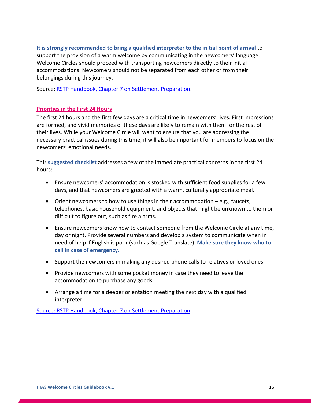# **It is strongly recommended to bring a qualified interpreter to the initial point of arrival** to

support the provision of a warm welcome by communicating in the newcomers' language. Welcome Circles should proceed with transporting newcomers directly to their initial accommodations. Newcomers should not be separated from each other or from their belongings during this journey.

Source: [RSTP Handbook, Chapter 7 on Settlement Preparation.](https://www.rstp.ca/wp-content/uploads/2014/03/Chapter-7-Settlement-Preparation-FEB18-1.pdf)

### <span id="page-18-0"></span>**Priorities in the First 24 Hours**

The first 24 hours and the first few days are a critical time in newcomers' lives. First impressions are formed, and vivid memories of these days are likely to remain with them for the rest of their lives. While your Welcome Circle will want to ensure that you are addressing the necessary practical issues during this time, it will also be important for members to focus on the newcomers' emotional needs.

This **suggested checklist** addresses a few of the immediate practical concerns in the first 24 hours:

- Ensure newcomers' accommodation is stocked with sufficient food supplies for a few days, and that newcomers are greeted with a warm, culturally appropriate meal.
- Orient new comers to how to use things in their accommodation e.g., faucets, telephones, basic household equipment, and objects that might be unknown to them or difficult to figure out, such as fire alarms.
- Ensure newcomers know how to contact someone from the Welcome Circle at any time, day or night. Provide several numbers and develop a system to communicate when in need of help if English is poor (such as Google Translate). **Make sure they know who to call in case of emergency.**
- Support the newcomers in making any desired phone calls to relatives or loved ones.
- Provide newcomers with some pocket money in case they need to leave the accommodation to purchase any goods.
- Arrange a time for a deeper orientation meeting the next day with a qualified interpreter.

[Source: RSTP Handbook, Chapter 7 on Settlement Preparation.](https://www.rstp.ca/wp-content/uploads/2014/03/Chapter-7-Settlement-Preparation-FEB18-1.pdf)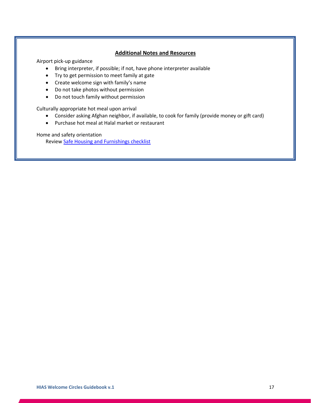### **Additional Notes and Resources**

<span id="page-19-0"></span>Airport pick-up guidance

- Bring interpreter, if possible; if not, have phone interpreter available
- Try to get permission to meet family at gate
- Create welcome sign with family's name
- Do not take photos without permission
- Do not touch family without permission

Culturally appropriate hot meal upon arrival

- Consider asking Afghan neighbor, if available, to cook for family (provide money or gift card)
- Purchase hot meal at Halal market or restaurant

Home and safety orientation

Review [Safe Housing and Furnishings checklist](https://www.hias.org/sites/default/files/sample_services_timeline_-_house_furnishings_checklist.xlsx)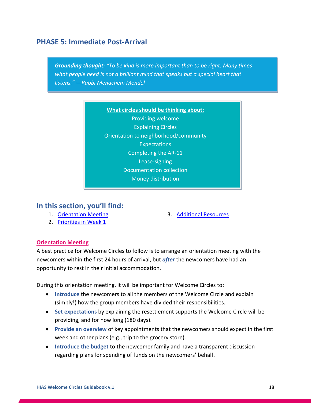# **PHASE 5: Immediate Post-Arrival**

*Grounding thought: "To be kind is more important than to be right. Many times what people need is not a brilliant mind that speaks but a special heart that listens." —Rabbi Menachem Mendel*

> **What circles should be thinking about:** Providing welcome Explaining Circles Orientation to neighborhood/community **Expectations** Completing the AR-11 Lease-signing Documentation collection Money distribution

# **In this section, you'll find:**

1. [Orientation Meeting](#page-20-0)

3. [Additional Resources](#page-22-0)

2. Priorities [in Week 1](#page-21-0)

# <span id="page-20-0"></span>**Orientation Meeting**

A best practice for Welcome Circles to follow is to arrange an orientation meeting with the newcomers within the first 24 hours of arrival, but *after* the newcomers have had an opportunity to rest in their initial accommodation.

During this orientation meeting, it will be important for Welcome Circles to:

- **Introduce** the newcomers to all the members of the Welcome Circle and explain (simply!) how the group members have divided their responsibilities.
- **Set expectations** by explaining the resettlement supports the Welcome Circle will be providing, and for how long (180 days).
- **Provide an overview** of key appointments that the newcomers should expect in the first week and other plans (e.g., trip to the grocery store).
- **Introduce the budget** to the newcomer family and have a transparent discussion regarding plans for spending of funds on the newcomers' behalf.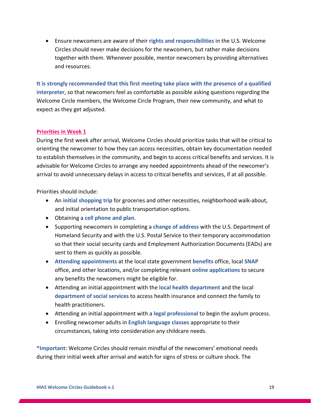• Ensure newcomers are aware of their **rights and responsibilities** in the U.S. Welcome Circles should never make decisions for the newcomers, but rather make decisions together with them. Whenever possible, mentor newcomers by providing alternatives and resources.

**It is strongly recommended that this first meeting take place with the presence of a qualified interpreter**, so that newcomers feel as comfortable as possible asking questions regarding the Welcome Circle members, the Welcome Circle Program, their new community, and what to expect as they get adjusted.

# <span id="page-21-0"></span>**Priorities in Week 1**

During the first week after arrival, Welcome Circles should prioritize tasks that will be critical to orienting the newcomer to how they can access necessities, obtain key documentation needed to establish themselves in the community, and begin to access critical benefits and services. It is advisable for Welcome Circles to arrange any needed appointments ahead of the newcomer's arrival to avoid unnecessary delays in access to critical benefits and services, if at all possible.

Priorities should include:

- An **initial shopping trip** for groceries and other necessities, neighborhood walk-about, and initial orientation to public transportation options.
- Obtaining a **cell phone and plan**.
- Supporting newcomers in completing a **change of address** with the U.S. Department of Homeland Security and with the U.S. Postal Service to their temporary accommodation so that their social security cards and Employment Authorization Documents (EADs) are sent to them as quickly as possible.
- **Attending appointments** at the local state government **benefits** office, local **SNAP** office, and other locations, and/or completing relevant **online applications** to secure any benefits the newcomers might be eligible for.
- Attending an initial appointment with the **local health department** and the local **department of social services** to access health insurance and connect the family to health practitioners.
- Attending an initial appointment with a **legal professional** to begin the asylum process.
- Enrolling newcomer adults in **English language classes** appropriate to their circumstances, taking into consideration any childcare needs.

**\*Important:** Welcome Circles should remain mindful of the newcomers' emotional needs during their initial week after arrival and watch for signs of stress or culture shock. The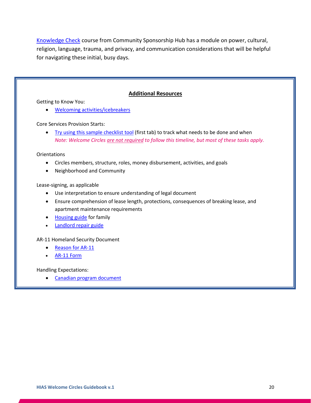[Knowledge Check](https://sponsorcircles.talentlms.com/catalog) course from Community Sponsorship Hub has a module on power, cultural, religion, language, trauma, and privacy, and communication considerations that will be helpful for navigating these initial, busy days.

### **Additional Resources**

<span id="page-22-0"></span>Getting to Know You:

• [Welcoming activities/icebreakers](http://www.culturalorientation.net/providing-orientation/tools/icebreakers)

Core Services Provision Starts:

• [Try using this sample checklist tool](https://www.hias.org/sites/default/files/sample_services_timeline_-_house_furnishings_checklist.xlsx) (first tab) to track what needs to be done and when *Note: Welcome Circles are not required to follow this timeline, but most of these tasks apply.*

**Orientations** 

- Circles members, structure, roles, money disbursement, activities, and goals
- Neighborhood and Community

Lease-signing, as applicable

- Use interpretation to ensure understanding of legal document
- Ensure comprehension of lease length, protections, consequences of breaking lease, and apartment maintenance requirements
- [Housing guide](https://switchboardta.org/resource/welcome-new-home-illustrated-guide/) for family
- [Landlord repair guide](https://switchboardta.org/resource/please-repair-an-illustrated-guide/)

AR-11 Homeland Security Document

- [Reason for AR-11](https://cliniclegal.org/resources/religious-immigration-law/what-form-ar-11)
- [AR-11 Form](https://www.uscis.gov/ar-11)

Handling Expectations:

• [Canadian program document](https://www.rstp.ca/wp-content/uploads/2018/04/Managing-Expectations-A-Resource-Kit-for-Refugee-Sponsors.pdf)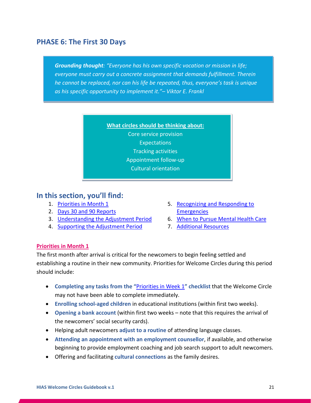# **PHASE 6: The First 30 Days**

*Grounding thought: "Everyone has his own specific vocation or mission in life; everyone must carry out a concrete assignment that demands fulfillment. Therein he cannot be replaced, nor can his life be repeated, thus, everyone's task is unique as his specific opportunity to implement it."– Viktor E. Frankl*



# **In this section, you'll find:**

- 1. [Priorities in Month 1](#page-23-0)
- 2. [Days 30 and 90 Reports](#page-24-0)
- 3. [Understanding the Adjustment Period](#page-24-1)
- 4. [Supporting the Adjustment Period](#page-24-2)
- 5. [Recognizing and Responding to](#page-25-0)  **[Emergencies](#page-25-0)**
- 6. [When to Pursue Mental Health Care](#page-25-1)
- 7. [Additional Resources](#page-28-0)

# <span id="page-23-0"></span>**Priorities in Month 1**

The first month after arrival is critical for the newcomers to begin feeling settled and establishing a routine in their new community. Priorities for Welcome Circles during this period should include:

- **Completing any tasks from the "**[Priorities in Week 1](#page-21-0)**" checklist** that the Welcome Circle may not have been able to complete immediately.
- **Enrolling school-aged children** in educational institutions (within first two weeks).
- **Opening a bank account** (within first two weeks note that this requires the arrival of the newcomers' social security cards).
- Helping adult newcomers **adjust to a routine** of attending language classes.
- **Attending an appointment with an employment counsellor**, if available, and otherwise beginning to provide employment coaching and job search support to adult newcomers.
- Offering and facilitating **cultural connections** as the family desires.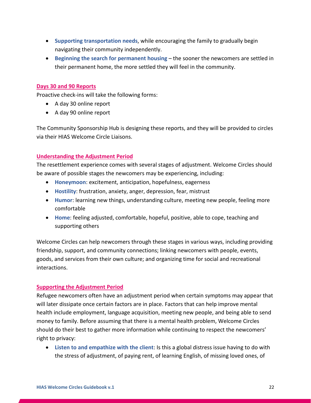- **Supporting transportation needs**, while encouraging the family to gradually begin navigating their community independently.
- **Beginning the search for permanent housing** the sooner the newcomers are settled in their permanent home, the more settled they will feel in the community.

# <span id="page-24-0"></span>**Days 30 and 90 Reports**

Proactive check-ins will take the following forms:

- A day 30 online report
- A day 90 online report

The Community Sponsorship Hub is designing these reports, and they will be provided to circles via their HIAS Welcome Circle Liaisons.

# <span id="page-24-1"></span>**Understanding the Adjustment Period**

The resettlement experience comes with several stages of adjustment. Welcome Circles should be aware of possible stages the newcomers may be experiencing, including:

- **Honeymoon**: excitement, anticipation, hopefulness, eagerness
- **Hostility**: frustration, anxiety, anger, depression, fear, mistrust
- **Humor**: learning new things, understanding culture, meeting new people, feeling more comfortable
- **Home**: feeling adjusted, comfortable, hopeful, positive, able to cope, teaching and supporting others

Welcome Circles can help newcomers through these stages in various ways, including providing friendship, support, and community connections; linking newcomers with people, events, goods, and services from their own culture; and organizing time for social and recreational interactions.

# <span id="page-24-2"></span>**Supporting the Adjustment Period**

Refugee newcomers often have an adjustment period when certain symptoms may appear that will later dissipate once certain factors are in place. Factors that can help improve mental health include employment, language acquisition, meeting new people, and being able to send money to family. Before assuming that there is a mental health problem, Welcome Circles should do their best to gather more information while continuing to respect the newcomers' right to privacy:

• **Listen to and empathize with the client**: Is this a global distress issue having to do with the stress of adjustment, of paying rent, of learning English, of missing loved ones, of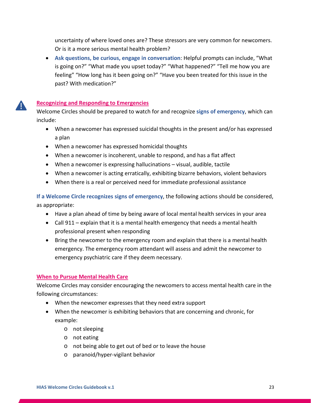uncertainty of where loved ones are? These stressors are very common for newcomers. Or is it a more serious mental health problem?

• **Ask questions, be curious, engage in conversation**: Helpful prompts can include, "What is going on?" "What made you upset today?" "What happened?" "Tell me how you are feeling" "How long has it been going on?" "Have you been treated for this issue in the past? With medication?"

# <span id="page-25-0"></span>**Recognizing and Responding to Emergencies**

T

Welcome Circles should be prepared to watch for and recognize **signs of emergency**, which can include:

- When a newcomer has expressed suicidal thoughts in the present and/or has expressed a plan
- When a newcomer has expressed homicidal thoughts
- When a newcomer is incoherent, unable to respond, and has a flat affect
- When a newcomer is expressing hallucinations visual, audible, tactile
- When a newcomer is acting erratically, exhibiting bizarre behaviors, violent behaviors
- When there is a real or perceived need for immediate professional assistance

**If a Welcome Circle recognizes signs of emergency**, the following actions should be considered, as appropriate:

- Have a plan ahead of time by being aware of local mental health services in your area
- Call 911 explain that it is a mental health emergency that needs a mental health professional present when responding
- Bring the newcomer to the emergency room and explain that there is a mental health emergency. The emergency room attendant will assess and admit the newcomer to emergency psychiatric care if they deem necessary.

# <span id="page-25-1"></span>**When to Pursue Mental Health Care**

Welcome Circles may consider encouraging the newcomers to access mental health care in the following circumstances:

- When the newcomer expresses that they need extra support
- When the newcomer is exhibiting behaviors that are concerning and chronic, for example:
	- o not sleeping
	- o not eating
	- o not being able to get out of bed or to leave the house
	- o paranoid/hyper-vigilant behavior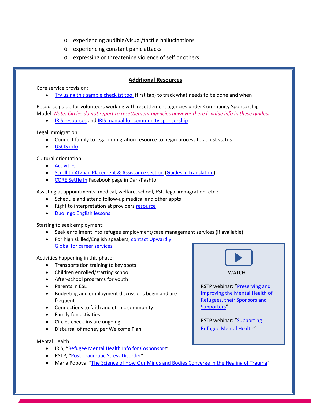- o experiencing audible/visual/tactile hallucinations
- o experiencing constant panic attacks
- o expressing or threatening violence of self or others

# **Additional Resources**

Core service provision:

• [Try using this sample checklist tool](https://www.hias.org/sites/default/files/sample_services_timeline_-_house_furnishings_checklist.xlsx) (first tab) to track what needs to be done and when

Resource guide for volunteers working with resettlement agencies under Community Sponsorship Model: *Note: Circles do not report to resettlement agencies however there is value info in these guides.*

• [IRIS resources](https://irisct.org/resources/) and [IRIS manual for community sponsorship](https://irisct.org/wp-content/uploads/2021/04/COMM-CO-SPONSORSHIP-MANUAL-FEB-2021-FINAL2.pdf)

Legal immigration:

- Connect family to legal immigration resource to begin process to adjust status
- [USCIS info](https://www.uscis.gov/humanitarian/information-for-afghans)

Cultural orientation:

- [Activities](https://coresourceexchange.org/activity-bank/)
- [Scroll to Afghan Placement & Assistance section](https://coresourceexchange.org/curriculum-lesson-plans/) [\(Guides in translation\)](https://coresourceexchange.org/welcome-guides/)
- [CORE Settle In](https://www.facebook.com/SettleInUS) Facebook page in Dari/Pashto

Assisting at appointments: medical, welfare, school, ESL, legal immigration, etc.:

- Schedule and attend follow-up medical and other appts
- Right to interpretation at provider[s resource](https://www.hhs.gov/civil-rights/for-individuals/special-topics/limited-english-proficiency/index.html)
- [Duolingo English lessons](https://www.duolingo.com/course/en/es/Learn-English)

Starting to seek employment:

- Seek enrollment into refugee employment/case management services (if available)
- For high skilled/English speakers, contact Upwardly [Global for career services](https://www.upwardlyglobal.org/career-skills-program/)

Activities happening in this phase:

- Transportation training to key spots
- Children enrolled/starting school
- After-school programs for youth
- Parents in ESL
- Budgeting and employment discussions begin and are frequent
- Connections to faith and ethnic community
- Family fun activities
- Circles check-ins are ongoing
- Disbursal of money per Welcome Plan

Mental Health

- IRIS, ["Refugee Mental Health Info for Cosponsors"](https://irisct.org/wp-content/uploads/2020/10/Mental-Health-Info-for-Co-Sponsors.pdf)
- RSTP, ["Post-Traumatic Stress Disorder"](https://www.rstp.ca/en/infosheet/post-traumatic-stress-disorder-ptsd/)
- Maria Popova, ["The Science of How Our Minds and Bodies Converge in the Healing of Trauma"](https://www.themarginalian.org/2016/06/20/the-body-keeps-the-score-van-der-kolk/?mc_cid=0506706136&mc_eid=e8fb0d4773)



WATCH:

RSTP webinar: ["Preserving and](https://www.rstp.ca/en/resources/videos/preserving-and-improving-the-mental-health-of-refugees-their-sponsors-and-supporters/)  [Improving the Mental Health of](https://www.rstp.ca/en/resources/videos/preserving-and-improving-the-mental-health-of-refugees-their-sponsors-and-supporters/)  [Refugees, their Sponsors and](https://www.rstp.ca/en/resources/videos/preserving-and-improving-the-mental-health-of-refugees-their-sponsors-and-supporters/)  [Supporters"](https://www.rstp.ca/en/resources/videos/preserving-and-improving-the-mental-health-of-refugees-their-sponsors-and-supporters/)

RSTP webinar: ["Supporting](https://www.rstp.ca/en/resources/videos/5052/)  [Refugee Mental Health"](https://www.rstp.ca/en/resources/videos/5052/)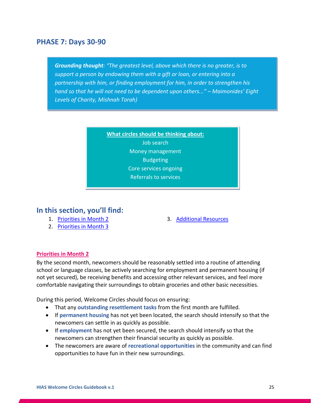# **PHASE 7: Days 30-90**

*Grounding thought: "The greatest level, above which there is no greater, is to support a person by endowing them with a gift or loan, or entering into a partnership with him, or finding employment for him, in order to strengthen his hand so that he will not need to be dependent upon others..." – Maimonides' Eight Levels of Charity, Mishnah Torah)*



# **In this section, you'll find:**

- 1. [Priorities in Month 2](#page-27-0)
- 2. [Priorities in Month 3](#page-28-1)

3. [Additional Resources](#page-28-0)

# <span id="page-27-0"></span>**Priorities in Month 2**

By the second month, newcomers should be reasonably settled into a routine of attending school or language classes, be actively searching for employment and permanent housing (if not yet secured), be receiving benefits and accessing other relevant services, and feel more comfortable navigating their surroundings to obtain groceries and other basic necessities.

During this period, Welcome Circles should focus on ensuring:

- That any **outstanding resettlement tasks** from the first month are fulfilled.
- If **permanent housing** has not yet been located, the search should intensify so that the newcomers can settle in as quickly as possible.
- If **employment** has not yet been secured, the search should intensify so that the newcomers can strengthen their financial security as quickly as possible.
- The newcomers are aware of **recreational opportunities** in the community and can find opportunities to have fun in their new surroundings.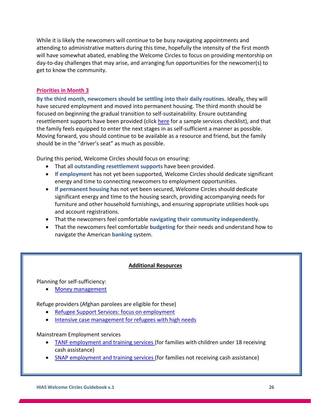While it is likely the newcomers will continue to be busy navigating appointments and attending to administrative matters during this time, hopefully the intensity of the first month will have somewhat abated, enabling the Welcome Circles to focus on providing mentorship on day-to-day challenges that may arise, and arranging fun opportunities for the newcomer(s) to get to know the community.

# <span id="page-28-1"></span>**Priorities in Month 3**

**By the third month, newcomers should be settling into their daily routines**. Ideally, they will have secured employment and moved into permanent housing. The third month should be focused on beginning the gradual transition to self-sustainability. Ensure outstanding resettlement supports have been provided (click [here](https://www.hias.org/sites/default/files/sample_services_timeline_-_house_furnishings_checklist.xlsx) for a sample services checklist), and that the family feels equipped to enter the next stages in as self-sufficient a manner as possible. Moving forward, you should continue to be available as a resource and friend, but the family should be in the "driver's seat" as much as possible.

During this period, Welcome Circles should focus on ensuring:

- That all **outstanding resettlement supports** have been provided.
- If **employment** has not yet been supported, Welcome Circles should dedicate significant energy and time to connecting newcomers to employment opportunities.
- If **permanent housing** has not yet been secured, Welcome Circles should dedicate significant energy and time to the housing search, providing accompanying needs for furniture and other household furnishings, and ensuring appropriate utilities hook-ups and account registrations.
- That the newcomers feel comfortable **navigating their community independently**.
- That the newcomers feel comfortable **budgeting** for their needs and understand how to navigate the American **banking** system.

# **Additional Resources**

<span id="page-28-0"></span>Planning for self-sufficiency:

• [Money management](https://coresourceexchange.org/lessonplan/money-management/)

Refuge providers (Afghan parolees are eligible for these)

- [Refugee Support Services: focus on employment](https://www.acf.hhs.gov/orr/programs/refugees/refugee-support-services)
- Intensive case management for refugees with high needs

# Mainstream Employment services

- [TANF employment and training services \(](https://www.acf.hhs.gov/ofa/policy-guidance/tanf-acf-im-2016-05-supporting-career-pathways-tanf-recipients)for families with children under 18 receiving cash assistance)
- [SNAP employment and training services \(](https://www.fns.usda.gov/snap/snap-et-participant)for families not receiving cash assistance)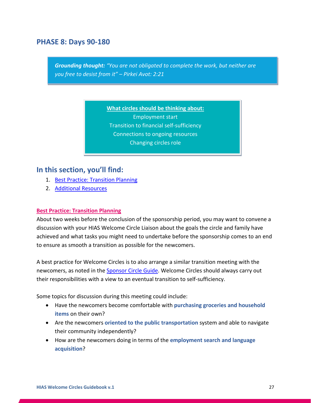# **PHASE 8: Days 90-180**

*Grounding thought: "You are not obligated to complete the work, but neither are you free to desist from it" – Pirkei Avot: 2:21*

**What circles should be thinking about:**

Employment start Transition to financial self-sufficiency Connections to ongoing resources Changing circles role

# **In this section, you'll find:**

- 1. [Best Practice: Transition Planning](#page-29-0)
- 2. [Additional Resources](#page-30-0)

#### <span id="page-29-0"></span>**Best Practice: Transition Planning**

About two weeks before the conclusion of the sponsorship period, you may want to convene a discussion with your HIAS Welcome Circle Liaison about the goals the circle and family have achieved and what tasks you might need to undertake before the sponsorship comes to an end to ensure as smooth a transition as possible for the newcomers.

A best practice for Welcome Circles is to also arrange a similar transition meeting with the newcomers, as noted in the [Sponsor Circle Guide.](https://static1.squarespace.com/static/61646bf4b4d54060a39e8039/t/617d85cb7b44593898c22897/1635616206874/Sponsor+Circle+Guide.pdf) Welcome Circles should always carry out their responsibilities with a view to an eventual transition to self-sufficiency.

Some topics for discussion during this meeting could include:

- Have the newcomers become comfortable with **purchasing groceries and household items** on their own?
- Are the newcomers **oriented to the public transportation** system and able to navigate their community independently?
- How are the newcomers doing in terms of the **employment search and language acquisition**?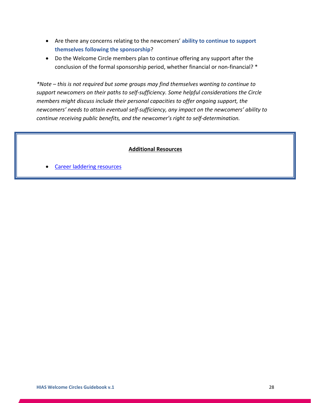- Are there any concerns relating to the newcomers' **ability to continue to support themselves following the sponsorship**?
- Do the Welcome Circle members plan to continue offering any support after the conclusion of the formal sponsorship period, whether financial or non-financial? \*

*\*Note – this is not required but some groups may find themselves wanting to continue to support newcomers on their paths to self-sufficiency. Some helpful considerations the Circle members might discuss include their personal capacities to offer ongoing support, the newcomers' needs to attain eventual self-sufficiency, any impact on the newcomers' ability to continue receiving public benefits, and the newcomer's right to self-determination.* 

# **Additional Resources**

<span id="page-30-0"></span>Career laddering resources